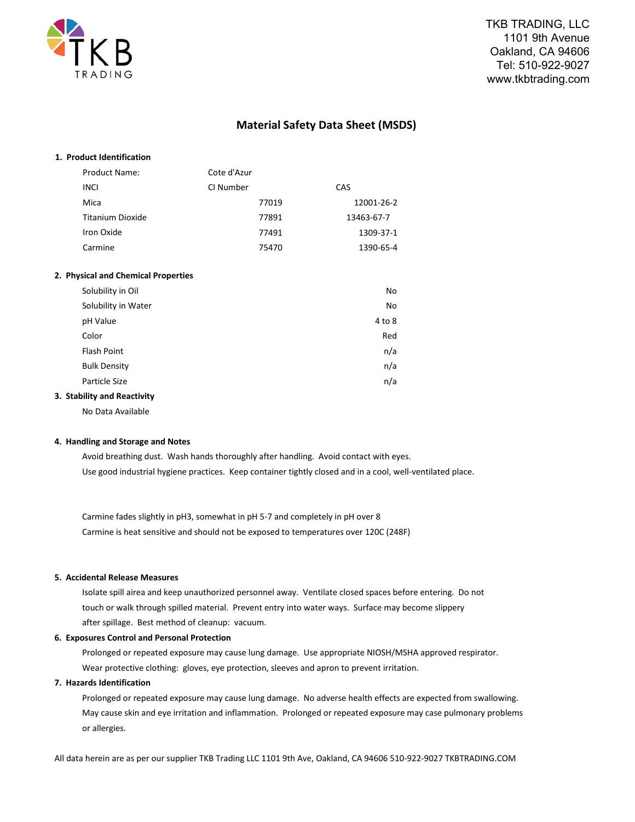

# **Material Safety Data Sheet (MSDS)**

| 1. Product Identification           |             |            |
|-------------------------------------|-------------|------------|
| <b>Product Name:</b>                | Cote d'Azur |            |
| <b>INCI</b>                         | CI Number   | CAS        |
| Mica                                | 77019       | 12001-26-2 |
| <b>Titanium Dioxide</b>             | 77891       | 13463-67-7 |
| Iron Oxide                          | 77491       | 1309-37-1  |
| Carmine                             | 75470       | 1390-65-4  |
|                                     |             |            |
| 2. Physical and Chemical Properties |             |            |
| Solubility in Oil                   |             | No         |
| Solubility in Water                 |             | No         |
| pH Value                            |             | 4 to 8     |
| Color                               |             | Red        |
| <b>Flash Point</b>                  |             | n/a        |
| <b>Bulk Density</b>                 |             | n/a        |
| Particle Size                       |             | n/a        |
| 3. Stability and Reactivity         |             |            |

No Data Available

### **4. Handling and Storage and Notes**

Avoid breathing dust. Wash hands thoroughly after handling. Avoid contact with eyes. Use good industrial hygiene practices. Keep container tightly closed and in a cool, well-ventilated place.

Carmine fades slightly in pH3, somewhat in pH 5-7 and completely in pH over 8 Carmine is heat sensitive and should not be exposed to temperatures over 120C (248F)

# **5. Accidental Release Measures**

Isolate spill airea and keep unauthorized personnel away. Ventilate closed spaces before entering. Do not touch or walk through spilled material. Prevent entry into water ways. Surface may become slippery after spillage. Best method of cleanup: vacuum.

### **6. Exposures Control and Personal Protection**

Prolonged or repeated exposure may cause lung damage. Use appropriate NIOSH/MSHA approved respirator. Wear protective clothing: gloves, eye protection, sleeves and apron to prevent irritation.

# **7. Hazards Identification**

Prolonged or repeated exposure may cause lung damage. No adverse health effects are expected from swallowing. May cause skin and eye irritation and inflammation. Prolonged or repeated exposure may case pulmonary problems or allergies.

All data herein are as per our supplier TKB Trading LLC 1101 9th Ave, Oakland, CA 94606 510-922-9027 TKBTRADING.COM